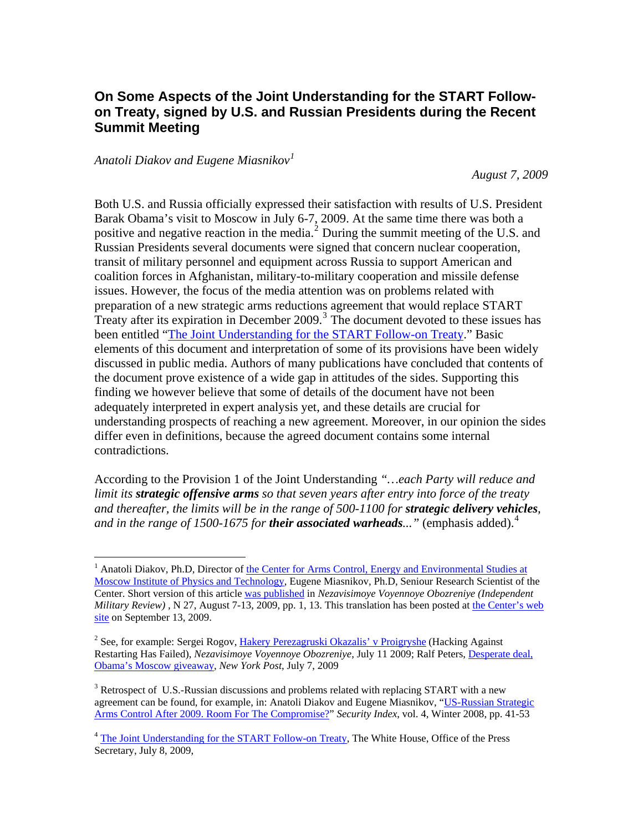## **On Some Aspects of the Joint Understanding for the START Followon Treaty, signed by U.S. and Russian Presidents during the Recent Summit Meeting**

## *Anatoli Diakov and Eugene Miasnikov[1](#page-0-0)*

1

*August 7, 2009* 

Both U.S. and Russia officially expressed their satisfaction with results of U.S. President Barak Obama's visit to Moscow in July 6-7, 2009. At the same time there was both a positive and negative reaction in the media.<sup>[2](#page-0-1)</sup> During the summit meeting of the U.S. and Russian Presidents several documents were signed that concern nuclear cooperation, transit of military personnel and equipment across Russia to support American and coalition forces in Afghanistan, military-to-military cooperation and missile defense issues. However, the focus of the media attention was on problems related with preparation of a new strategic arms reductions agreement that would replace START Treaty after its expiration in December  $2009$ .<sup>[3](#page-0-2)</sup> The document devoted to these issues has been entitled "[The Joint Understanding for the START Follow-on Treaty.](http://www.whitehouse.gov/the_press_office/The-Joint-Understanding-for-The-Start-Follow-On-Treaty/)" Basic elements of this document and interpretation of some of its provisions have been widely discussed in public media. Authors of many publications have concluded that contents of the document prove existence of a wide gap in attitudes of the sides. Supporting this finding we however believe that some of details of the document have not been adequately interpreted in expert analysis yet, and these details are crucial for understanding prospects of reaching a new agreement. Moreover, in our opinion the sides differ even in definitions, because the agreed document contains some internal contradictions.

According to the Provision 1 of the Joint Understanding *"…each Party will reduce and limit its strategic offensive arms so that seven years after entry into force of the treaty and thereafter, the limits will be in the range of 500-1100 for strategic delivery vehicles, and in the range of 1500-1675 for <i>their associated warheads*..." (emphasis added).<sup>[4](#page-0-3)</sup>

<span id="page-0-0"></span><sup>&</sup>lt;sup>1</sup> Anatoli Diakov, Ph.D, Director of the Center for Arms Control, Energy and Environmental Studies at [Moscow Institute of Physics and Technology,](http://www.armscontrol.ru/) Eugene Miasnikov, Ph.D, Seniour Research Scientist of the Center. Short version of this article [was published](http://nvo.ng.ru/concepts/2009-08-07/1_startegy.html) in *Nezavisimoye Voyennoye Obozreniye (Independent Military Review)*, N 27, August 7-13, 2009, pp. 1, 13. This translation has been posted at the Center's web [site](http://www.armscontrol.ru/) on September 13, 2009.

<span id="page-0-1"></span><sup>&</sup>lt;sup>2</sup> See, for example: Sergei Rogov, *Hakery Perezagruski Okazalis' v Proigryshe* (Hacking Against Restarting Has Failed), *Nezavisimoye Voyennoye Obozreniye*, July 11 2009; Ralf Peters, [Desperate deal,](http://www.nypost.com/seven/07072009/postopinion/opedcolumnists/desperate_deal_177977.htm)  [Obama's Moscow giveaway,](http://www.nypost.com/seven/07072009/postopinion/opedcolumnists/desperate_deal_177977.htm) *New York Post*, July 7, 2009

<span id="page-0-2"></span> $3$  Retrospect of U.S.-Russian discussions and problems related with replacing START with a new agreement can be found, for example, in: Anatoli Diakov and Eugene Miasnikov, ["US-Russian Strategic](http://www.armscontrol.ru/pubs/yk1208.pdf)  [Arms Control After 2009. Room For The Compromise?"](http://www.armscontrol.ru/pubs/yk1208.pdf) *Security Index*, vol. 4, Winter 2008, pp. 41-53

<span id="page-0-3"></span><sup>&</sup>lt;sup>4</sup> [The Joint Understanding for the START Follow-on Treaty](http://www.whitehouse.gov/the_press_office/The-Joint-Understanding-for-The-Start-Follow-On-Treaty/), The White House, Office of the Press Secretary, July 8, 2009,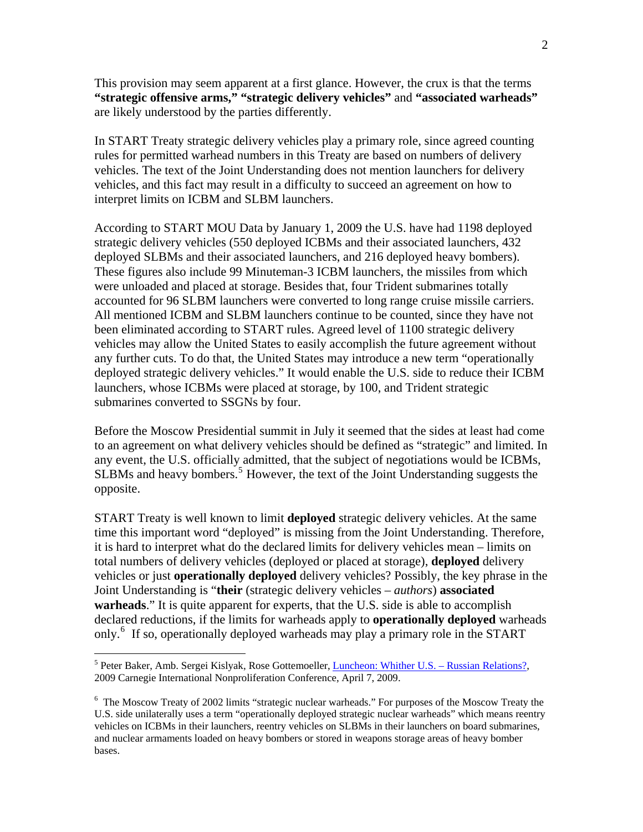This provision may seem apparent at a first glance. However, the crux is that the terms **"strategic offensive arms," "strategic delivery vehicles"** and **"associated warheads"** are likely understood by the parties differently.

In START Treaty strategic delivery vehicles play a primary role, since agreed counting rules for permitted warhead numbers in this Treaty are based on numbers of delivery vehicles. The text of the Joint Understanding does not mention launchers for delivery vehicles, and this fact may result in a difficulty to succeed an agreement on how to interpret limits on ICBM and SLBM launchers.

According to START MOU Data by January 1, 2009 the U.S. have had 1198 deployed strategic delivery vehicles (550 deployed ICBMs and their associated launchers, 432 deployed SLBMs and their associated launchers, and 216 deployed heavy bombers). These figures also include 99 Minuteman-3 ICBM launchers, the missiles from which were unloaded and placed at storage. Besides that, four Trident submarines totally accounted for 96 SLBM launchers were converted to long range cruise missile carriers. All mentioned ICBM and SLBM launchers continue to be counted, since they have not been eliminated according to START rules. Agreed level of 1100 strategic delivery vehicles may allow the United States to easily accomplish the future agreement without any further cuts. To do that, the United States may introduce a new term "operationally deployed strategic delivery vehicles." It would enable the U.S. side to reduce their ICBM launchers, whose ICBMs were placed at storage, by 100, and Trident strategic submarines converted to SSGNs by four.

Before the Moscow Presidential summit in July it seemed that the sides at least had come to an agreement on what delivery vehicles should be defined as "strategic" and limited. In any event, the U.S. officially admitted, that the subject of negotiations would be ICBMs, SLBMs and heavy bombers.<sup>[5](#page-1-0)</sup> However, the text of the Joint Understanding suggests the opposite.

START Treaty is well known to limit **deployed** strategic delivery vehicles. At the same time this important word "deployed" is missing from the Joint Understanding. Therefore, it is hard to interpret what do the declared limits for delivery vehicles mean – limits on total numbers of delivery vehicles (deployed or placed at storage), **deployed** delivery vehicles or just **operationally deployed** delivery vehicles? Possibly, the key phrase in the Joint Understanding is "**their** (strategic delivery vehicles – *authors*) **associated warheads**." It is quite apparent for experts, that the U.S. side is able to accomplish declared reductions, if the limits for warheads apply to **operationally deployed** warheads only.[6](#page-1-1) If so, operationally deployed warheads may play a primary role in the START

 $\overline{a}$ 

<span id="page-1-0"></span><sup>&</sup>lt;sup>5</sup> Peter Baker, Amb. Sergei Kislyak, Rose Gottemoeller, *Luncheon: Whither U.S.* – Russian Relations?, 2009 Carnegie International Nonproliferation Conference, April 7, 2009.

<span id="page-1-1"></span><sup>&</sup>lt;sup>6</sup> The Moscow Treaty of 2002 limits "strategic nuclear warheads." For purposes of the Moscow Treaty the U.S. side unilaterally uses a term "operationally deployed strategic nuclear warheads" which means reentry vehicles on ICBMs in their launchers, reentry vehicles on SLBMs in their launchers on board submarines, and nuclear armaments loaded on heavy bombers or stored in weapons storage areas of heavy bomber bases.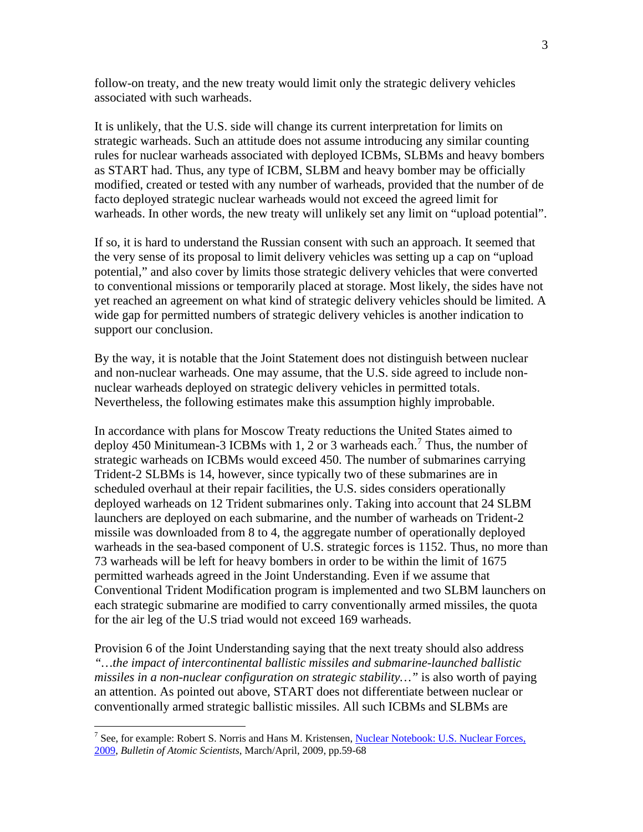follow-on treaty, and the new treaty would limit only the strategic delivery vehicles associated with such warheads.

It is unlikely, that the U.S. side will change its current interpretation for limits on strategic warheads. Such an attitude does not assume introducing any similar counting rules for nuclear warheads associated with deployed ICBMs, SLBMs and heavy bombers as START had. Thus, any type of ICBM, SLBM and heavy bomber may be officially modified, created or tested with any number of warheads, provided that the number of de facto deployed strategic nuclear warheads would not exceed the agreed limit for warheads. In other words, the new treaty will unlikely set any limit on "upload potential".

If so, it is hard to understand the Russian consent with such an approach. It seemed that the very sense of its proposal to limit delivery vehicles was setting up a cap on "upload potential," and also cover by limits those strategic delivery vehicles that were converted to conventional missions or temporarily placed at storage. Most likely, the sides have not yet reached an agreement on what kind of strategic delivery vehicles should be limited. A wide gap for permitted numbers of strategic delivery vehicles is another indication to support our conclusion.

By the way, it is notable that the Joint Statement does not distinguish between nuclear and non-nuclear warheads. One may assume, that the U.S. side agreed to include nonnuclear warheads deployed on strategic delivery vehicles in permitted totals. Nevertheless, the following estimates make this assumption highly improbable.

In accordance with plans for Moscow Treaty reductions the United States aimed to deploy 450 Minitumean-3 ICBMs with 1, 2 or 3 warheads each.<sup>[7](#page-2-0)</sup> Thus, the number of strategic warheads on ICBMs would exceed 450. The number of submarines carrying Trident-2 SLBMs is 14, however, since typically two of these submarines are in scheduled overhaul at their repair facilities, the U.S. sides considers operationally deployed warheads on 12 Trident submarines only. Taking into account that 24 SLBM launchers are deployed on each submarine, and the number of warheads on Trident-2 missile was downloaded from 8 to 4, the aggregate number of operationally deployed warheads in the sea-based component of U.S. strategic forces is 1152. Thus, no more than 73 warheads will be left for heavy bombers in order to be within the limit of 1675 permitted warheads agreed in the Joint Understanding. Even if we assume that Conventional Trident Modification program is implemented and two SLBM launchers on each strategic submarine are modified to carry conventionally armed missiles, the quota for the air leg of the U.S triad would not exceed 169 warheads.

Provision 6 of the Joint Understanding saying that the next treaty should also address *"…the impact of intercontinental ballistic missiles and submarine-launched ballistic missiles in a non-nuclear configuration on strategic stability…"* is also worth of paying an attention. As pointed out above, START does not differentiate between nuclear or conventionally armed strategic ballistic missiles. All such ICBMs and SLBMs are

1

<span id="page-2-0"></span><sup>&</sup>lt;sup>7</sup> See, for example: Robert S. Norris and Hans M. Kristensen, Nuclear Notebook: U.S. Nuclear Forces, [2009,](http://thebulletin.metapress.com/content/f64x2k3716wq9613/fulltext.pdf) *Bulletin of Atomic Scientists*, March/April, 2009, pp.59-68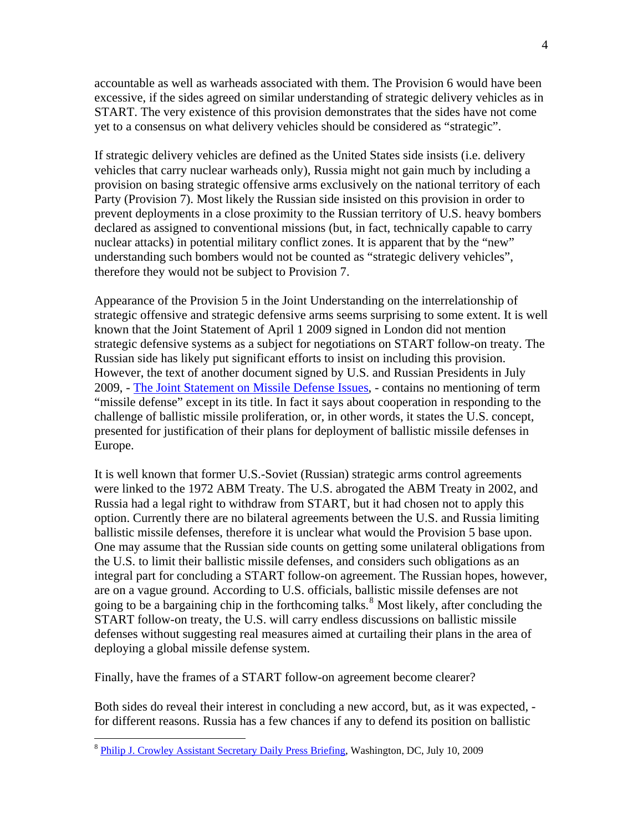accountable as well as warheads associated with them. The Provision 6 would have been excessive, if the sides agreed on similar understanding of strategic delivery vehicles as in START. The very existence of this provision demonstrates that the sides have not come yet to a consensus on what delivery vehicles should be considered as "strategic".

If strategic delivery vehicles are defined as the United States side insists (i.e. delivery vehicles that carry nuclear warheads only), Russia might not gain much by including a provision on basing strategic offensive arms exclusively on the national territory of each Party (Provision 7). Most likely the Russian side insisted on this provision in order to prevent deployments in a close proximity to the Russian territory of U.S. heavy bombers declared as assigned to conventional missions (but, in fact, technically capable to carry nuclear attacks) in potential military conflict zones. It is apparent that by the "new" understanding such bombers would not be counted as "strategic delivery vehicles", therefore they would not be subject to Provision 7.

Appearance of the Provision 5 in the Joint Understanding on the interrelationship of strategic offensive and strategic defensive arms seems surprising to some extent. It is well known that the Joint Statement of April 1 2009 signed in London did not mention strategic defensive systems as a subject for negotiations on START follow-on treaty. The Russian side has likely put significant efforts to insist on including this provision. However, the text of another document signed by U.S. and Russian Presidents in July 2009, - [The Joint Statement on Missile Defense Issues,](http://www.whitehouse.gov/the_press_office/Joint-Statement-by-Dmitry-A-Medvedev-President-of-the-Russian-Federation-and-Barack-Obama-President-of-the-United-States-of-America-on-Missile-Defense-Issues/) - contains no mentioning of term "missile defense" except in its title. In fact it says about cooperation in responding to the challenge of ballistic missile proliferation, or, in other words, it states the U.S. concept, presented for justification of their plans for deployment of ballistic missile defenses in Europe.

It is well known that former U.S.-Soviet (Russian) strategic arms control agreements were linked to the 1972 ABM Treaty. The U.S. abrogated the ABM Treaty in 2002, and Russia had a legal right to withdraw from START, but it had chosen not to apply this option. Currently there are no bilateral agreements between the U.S. and Russia limiting ballistic missile defenses, therefore it is unclear what would the Provision 5 base upon. One may assume that the Russian side counts on getting some unilateral obligations from the U.S. to limit their ballistic missile defenses, and considers such obligations as an integral part for concluding a START follow-on agreement. The Russian hopes, however, are on a vague ground. According to U.S. officials, ballistic missile defenses are not going to be a bargaining chip in the forthcoming talks.<sup>[8](#page-3-0)</sup> Most likely, after concluding the START follow-on treaty, the U.S. will carry endless discussions on ballistic missile defenses without suggesting real measures aimed at curtailing their plans in the area of deploying a global missile defense system.

Finally, have the frames of a START follow-on agreement become clearer?

Both sides do reveal their interest in concluding a new accord, but, as it was expected, for different reasons. Russia has a few chances if any to defend its position on ballistic

 $\overline{a}$ 

<span id="page-3-0"></span><sup>&</sup>lt;sup>8</sup> [Philip J. Crowley Assistant Secretary Daily Press Briefing](http://www.state.gov/r/pa/prs/dpb/2009/july/125940.htm), Washington, DC, July 10, 2009